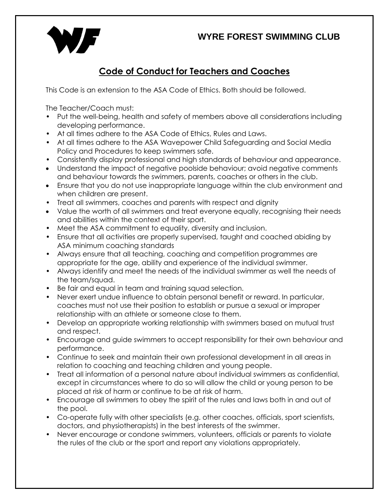## **WYRE FOREST SWIMMING CLUB**



## **Code of Conduct for Teachers and Coaches**

This Code is an extension to the ASA Code of Ethics. Both should be followed.

The Teacher/Coach must:

- Put the well-being, health and safety of members above all considerations including developing performance.
- At all times adhere to the ASA Code of Ethics, Rules and Laws.
- At all times adhere to the ASA Wavepower Child Safeguarding and Social Media Policy and Procedures to keep swimmers safe.
- Consistently display professional and high standards of behaviour and appearance.
- Understand the impact of negative poolside behaviour; avoid negative comments and behaviour towards the swimmers, parents, coaches or others in the club.
- Ensure that you do not use inappropriate language within the club environment and when children are present.
- Treat all swimmers, coaches and parents with respect and dignity
- Value the worth of all swimmers and treat everyone equally, recognising their needs and abilities within the context of their sport.
- Meet the ASA commitment to equality, diversity and inclusion.
- Ensure that all activities are properly supervised, taught and coached abiding by ASA minimum coaching standards
- Always ensure that all teaching, coaching and competition programmes are appropriate for the age, ability and experience of the individual swimmer.
- Always identify and meet the needs of the individual swimmer as well the needs of the team/squad.
- Be fair and equal in team and training squad selection.
- Never exert undue influence to obtain personal benefit or reward. In particular, coaches must not use their position to establish or pursue a sexual or improper relationship with an athlete or someone close to them.
- Develop an appropriate working relationship with swimmers based on mutual trust and respect.
- Encourage and guide swimmers to accept responsibility for their own behaviour and performance.
- Continue to seek and maintain their own professional development in all areas in relation to coaching and teaching children and young people.
- Treat all information of a personal nature about individual swimmers as confidential, except in circumstances where to do so will allow the child or young person to be placed at risk of harm or continue to be at risk of harm.
- Encourage all swimmers to obey the spirit of the rules and laws both in and out of the pool.
- Co-operate fully with other specialists (e.g. other coaches, officials, sport scientists, doctors, and physiotherapists) in the best interests of the swimmer.
- Never encourage or condone swimmers, volunteers, officials or parents to violate the rules of the club or the sport and report any violations appropriately.